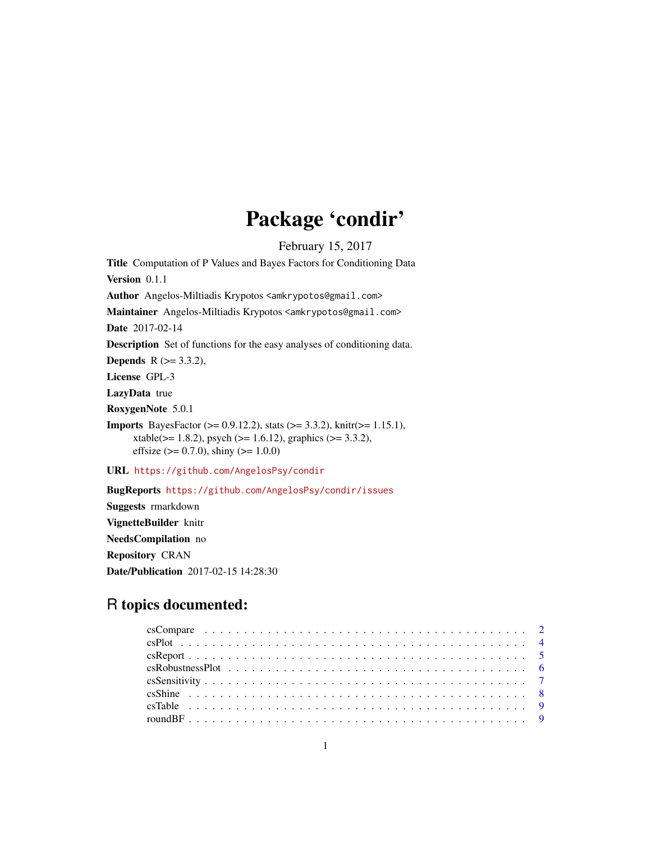# Package 'condir'

<span id="page-0-0"></span>February 15, 2017 Title Computation of P Values and Bayes Factors for Conditioning Data Version 0.1.1 Author Angelos-Miltiadis Krypotos <amkrypotos@gmail.com> Maintainer Angelos-Miltiadis Krypotos <amkrypotos@gmail.com> Date 2017-02-14 Description Set of functions for the easy analyses of conditioning data. **Depends** R  $(>= 3.3.2)$ , License GPL-3 LazyData true RoxygenNote 5.0.1 **Imports** BayesFactor ( $> = 0.9.12.2$ ), stats ( $> = 3.3.2$ ), knitr( $> = 1.15.1$ ),  $xtable(>= 1.8.2)$ ,  $psych(>= 1.6.12)$ ,  $graphics(>= 3.3.2)$ , effsize ( $> = 0.7.0$ ), shiny ( $> = 1.0.0$ ) URL <https://github.com/AngelosPsy/condir> BugReports <https://github.com/AngelosPsy/condir/issues>

Suggests rmarkdown VignetteBuilder knitr NeedsCompilation no Repository CRAN Date/Publication 2017-02-15 14:28:30

# R topics documented: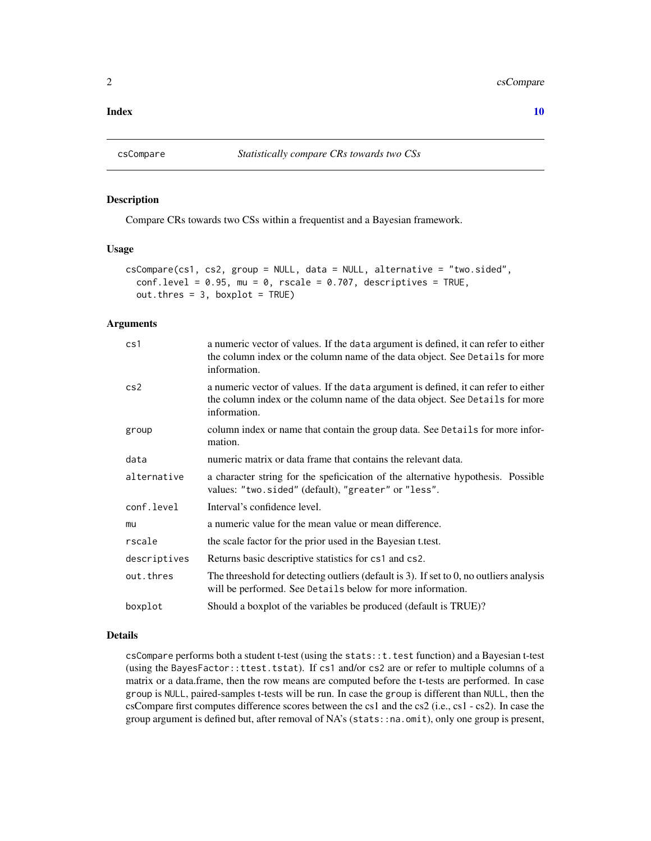#### <span id="page-1-0"></span> $\blacksquare$

<span id="page-1-1"></span>

# Description

Compare CRs towards two CSs within a frequentist and a Bayesian framework.

#### Usage

```
csCompare(cs1, cs2, group = NULL, data = NULL, alternative = "two.sided",
 conf<math>. level = 0.95, mu = 0, rscale = 0.707, descriptives = TRUE,
 out. thres = 3, boxplot = TRUE)
```
# Arguments

| cs1          | a numeric vector of values. If the data argument is defined, it can refer to either<br>the column index or the column name of the data object. See Details for more<br>information. |
|--------------|-------------------------------------------------------------------------------------------------------------------------------------------------------------------------------------|
| cs2          | a numeric vector of values. If the data argument is defined, it can refer to either<br>the column index or the column name of the data object. See Details for more<br>information. |
| group        | column index or name that contain the group data. See Details for more infor-<br>mation.                                                                                            |
| data         | numeric matrix or data frame that contains the relevant data.                                                                                                                       |
| alternative  | a character string for the speficication of the alternative hypothesis. Possible<br>values: "two.sided" (default), "greater" or "less".                                             |
| conf.level   | Interval's confidence level.                                                                                                                                                        |
| mu           | a numeric value for the mean value or mean difference.                                                                                                                              |
| rscale       | the scale factor for the prior used in the Bayesian t.test.                                                                                                                         |
| descriptives | Returns basic descriptive statistics for cs1 and cs2.                                                                                                                               |
| out.thres    | The threeshold for detecting outliers (default is 3). If set to 0, no outliers analysis<br>will be performed. See Details below for more information.                               |
| boxplot      | Should a boxplot of the variables be produced (default is TRUE)?                                                                                                                    |

# Details

csCompare performs both a student t-test (using the stats::t.test function) and a Bayesian t-test (using the BayesFactor::ttest.tstat). If cs1 and/or cs2 are or refer to multiple columns of a matrix or a data.frame, then the row means are computed before the t-tests are performed. In case group is NULL, paired-samples t-tests will be run. In case the group is different than NULL, then the csCompare first computes difference scores between the cs1 and the cs2 (i.e., cs1 - cs2). In case the group argument is defined but, after removal of NA's (stats::na.omit), only one group is present,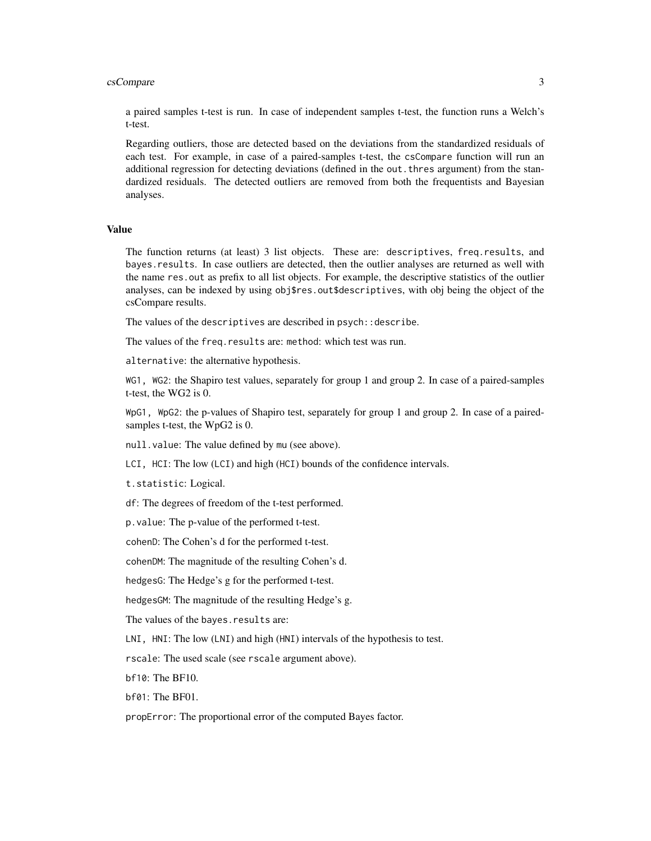# csCompare 3

a paired samples t-test is run. In case of independent samples t-test, the function runs a Welch's t-test.

Regarding outliers, those are detected based on the deviations from the standardized residuals of each test. For example, in case of a paired-samples t-test, the csCompare function will run an additional regression for detecting deviations (defined in the out.thres argument) from the standardized residuals. The detected outliers are removed from both the frequentists and Bayesian analyses.

#### Value

The function returns (at least) 3 list objects. These are: descriptives, freq.results, and bayes.results. In case outliers are detected, then the outlier analyses are returned as well with the name res.out as prefix to all list objects. For example, the descriptive statistics of the outlier analyses, can be indexed by using obj\$res.out\$descriptives, with obj being the object of the csCompare results.

The values of the descriptives are described in psych:: describe.

The values of the freq.results are: method: which test was run.

alternative: the alternative hypothesis.

WG1, WG2: the Shapiro test values, separately for group 1 and group 2. In case of a paired-samples t-test, the WG2 is 0.

WpG1, WpG2: the p-values of Shapiro test, separately for group 1 and group 2. In case of a pairedsamples t-test, the WpG2 is 0.

null.value: The value defined by mu (see above).

LCI, HCI: The low (LCI) and high (HCI) bounds of the confidence intervals.

t.statistic: Logical.

df: The degrees of freedom of the t-test performed.

p.value: The p-value of the performed t-test.

cohenD: The Cohen's d for the performed t-test.

cohenDM: The magnitude of the resulting Cohen's d.

hedgesG: The Hedge's g for the performed t-test.

hedgesGM: The magnitude of the resulting Hedge's g.

The values of the bayes.results are:

LNI, HNI: The low (LNI) and high (HNI) intervals of the hypothesis to test.

rscale: The used scale (see rscale argument above).

bf10: The BF10.

bf01: The BF01.

propError: The proportional error of the computed Bayes factor.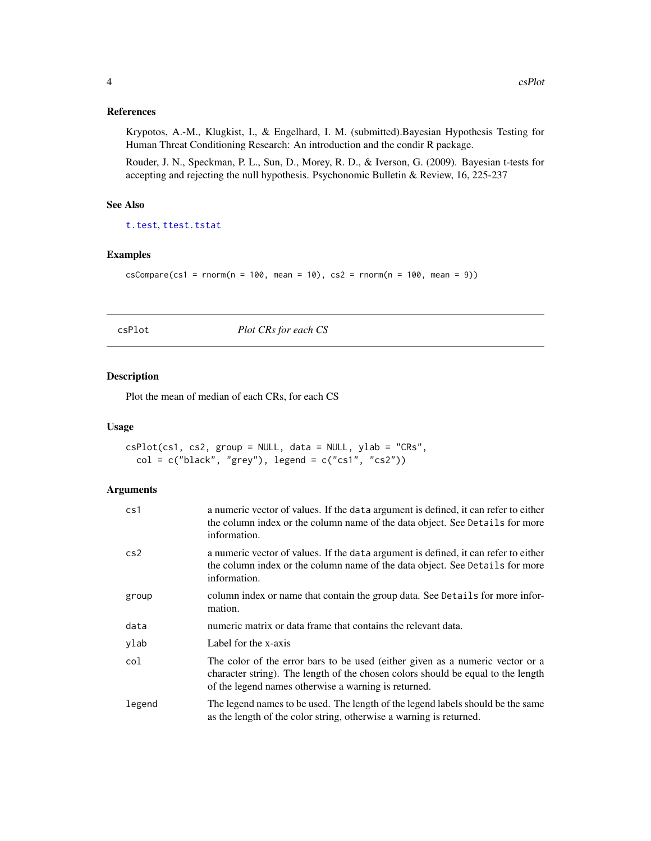### <span id="page-3-0"></span>References

Krypotos, A.-M., Klugkist, I., & Engelhard, I. M. (submitted).Bayesian Hypothesis Testing for Human Threat Conditioning Research: An introduction and the condir R package.

Rouder, J. N., Speckman, P. L., Sun, D., Morey, R. D., & Iverson, G. (2009). Bayesian t-tests for accepting and rejecting the null hypothesis. Psychonomic Bulletin & Review, 16, 225-237

#### See Also

[t.test](#page-0-0), [ttest.tstat](#page-0-0)

#### Examples

```
cscompare(csl = rnorm(n = 100, mean = 10), cs2 = rnorm(n = 100, mean = 9))
```
csPlot *Plot CRs for each CS*

# Description

Plot the mean of median of each CRs, for each CS

# Usage

```
csPlot(cs1, cs2, group = NULL, data = NULL, ylab = "CRs",
col = c("black", "grey"), legend = c("cs1", "cs2"))
```
# Arguments

| cs1    | a numeric vector of values. If the data argument is defined, it can refer to either<br>the column index or the column name of the data object. See Details for more<br>information.                                       |
|--------|---------------------------------------------------------------------------------------------------------------------------------------------------------------------------------------------------------------------------|
| cs2    | a numeric vector of values. If the data argument is defined, it can refer to either<br>the column index or the column name of the data object. See Details for more<br>information.                                       |
| group  | column index or name that contain the group data. See Details for more infor-<br>mation.                                                                                                                                  |
| data   | numeric matrix or data frame that contains the relevant data.                                                                                                                                                             |
| ylab   | Label for the x-axis                                                                                                                                                                                                      |
| col    | The color of the error bars to be used (either given as a numeric vector or a<br>character string). The length of the chosen colors should be equal to the length<br>of the legend names otherwise a warning is returned. |
| legend | The legend names to be used. The length of the legend labels should be the same<br>as the length of the color string, otherwise a warning is returned.                                                                    |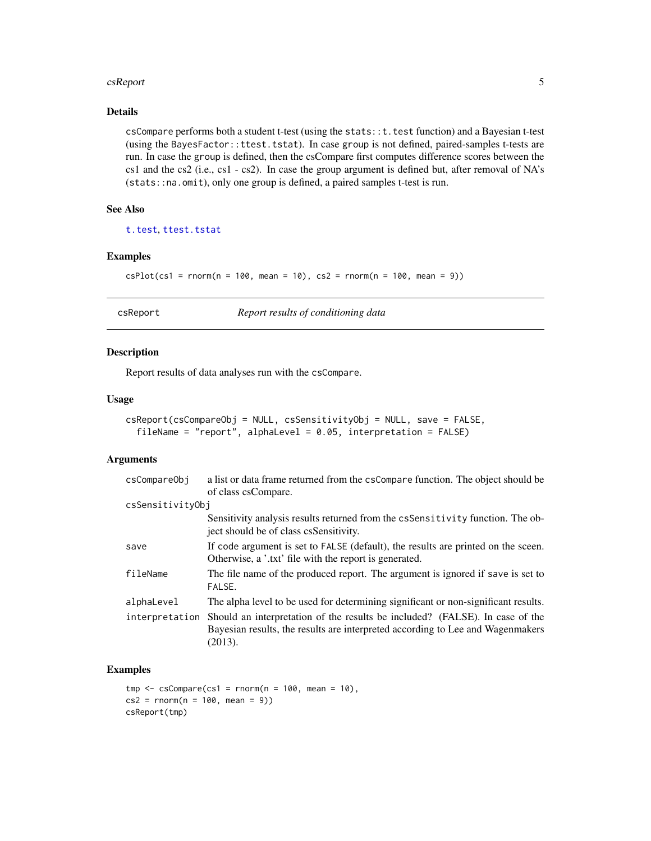#### <span id="page-4-0"></span>csReport 5

# Details

 $cscm$  parameters both a student t-test (using the stats:: $t.$ test function) and a Bayesian t-test (using the BayesFactor::ttest.tstat). In case group is not defined, paired-samples t-tests are run. In case the group is defined, then the csCompare first computes difference scores between the cs1 and the cs2 (i.e., cs1 - cs2). In case the group argument is defined but, after removal of NA's (stats::na.omit), only one group is defined, a paired samples t-test is run.

# See Also

[t.test](#page-0-0), [ttest.tstat](#page-0-0)

# Examples

```
csPlot(cs1 = rnorm(n = 100, mean = 10), cs2 = rnorm(n = 100, mean = 9))
```
csReport *Report results of conditioning data*

#### Description

Report results of data analyses run with the csCompare.

#### Usage

```
csReport(csCompareObj = NULL, csSensitivityObj = NULL, save = FALSE,
 fileName = "report", alphaLevel = 0.05, interpretation = FALSE)
```
#### Arguments

| csCompareObi     | a list or data frame returned from the csCompare function. The object should be                                                                                                          |
|------------------|------------------------------------------------------------------------------------------------------------------------------------------------------------------------------------------|
|                  | of class csCompare.                                                                                                                                                                      |
| csSensitivityObj |                                                                                                                                                                                          |
|                  | Sensitivity analysis results returned from the csSensitivity function. The ob-<br>ject should be of class csSensitivity.                                                                 |
| save             | If code argument is set to FALSE (default), the results are printed on the sceen.<br>Otherwise, a '.txt' file with the report is generated.                                              |
| fileName         | The file name of the produced report. The argument is ignored if save is set to<br>FALSE.                                                                                                |
| alphaLevel       | The alpha level to be used for determining significant or non-significant results.                                                                                                       |
|                  | interpretation Should an interpretation of the results be included? (FALSE). In case of the<br>Bayesian results, the results are interpreted according to Lee and Wagenmakers<br>(2013). |

# Examples

```
tmp \leftarrow cscompare(csl = rnorm(n = 100, mean = 10),cs2 = rnorm(n = 100, mean = 9)csReport(tmp)
```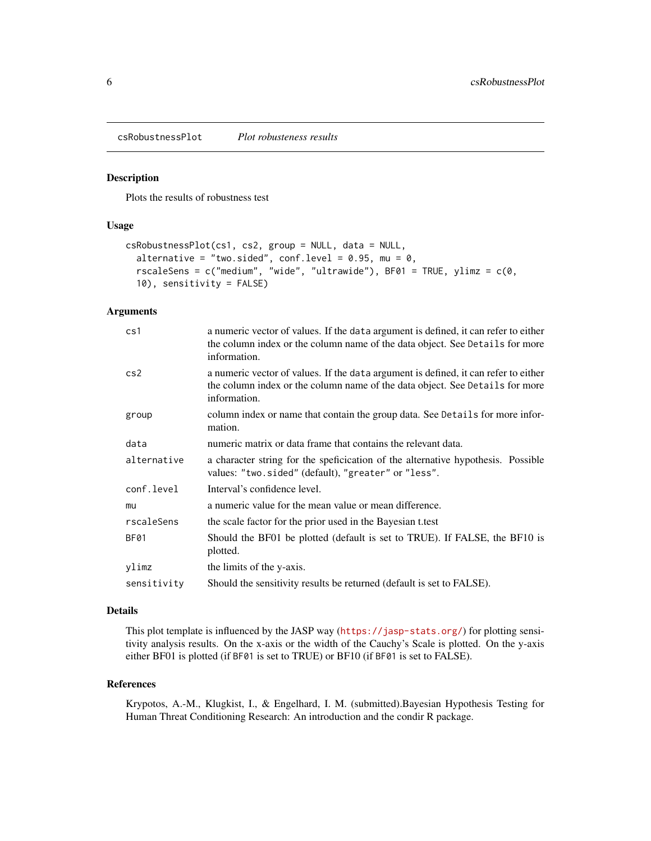<span id="page-5-0"></span>csRobustnessPlot *Plot robusteness results*

#### Description

Plots the results of robustness test

#### Usage

```
csRobustnessPlot(cs1, cs2, group = NULL, data = NULL,
 alternative = "two.sided", conf.level = 0.95, mu = 0,
 rscaleSens = c("medium", "wide", "ultrawide"), BF01 = TRUE, ylimz = <math>c(0)</math>,10), sensitivity = FALSE)
```
# Arguments

| cs1         | a numeric vector of values. If the data argument is defined, it can refer to either<br>the column index or the column name of the data object. See Details for more<br>information. |
|-------------|-------------------------------------------------------------------------------------------------------------------------------------------------------------------------------------|
| cs2         | a numeric vector of values. If the data argument is defined, it can refer to either<br>the column index or the column name of the data object. See Details for more<br>information. |
| group       | column index or name that contain the group data. See Details for more infor-<br>mation.                                                                                            |
| data        | numeric matrix or data frame that contains the relevant data.                                                                                                                       |
| alternative | a character string for the spericication of the alternative hypothesis. Possible<br>values: "two.sided" (default), "greater" or "less".                                             |
| conf.level  | Interval's confidence level.                                                                                                                                                        |
| mu          | a numeric value for the mean value or mean difference.                                                                                                                              |
| rscaleSens  | the scale factor for the prior used in the Bayesian t.test                                                                                                                          |
| BF01        | Should the BF01 be plotted (default is set to TRUE). If FALSE, the BF10 is<br>plotted.                                                                                              |
| ylimz       | the limits of the y-axis.                                                                                                                                                           |
| sensitivity | Should the sensitivity results be returned (default is set to FALSE).                                                                                                               |
|             |                                                                                                                                                                                     |

#### Details

This plot template is influenced by the JASP way (<https://jasp-stats.org/>) for plotting sensitivity analysis results. On the x-axis or the width of the Cauchy's Scale is plotted. On the y-axis either BF01 is plotted (if BF01 is set to TRUE) or BF10 (if BF01 is set to FALSE).

#### References

Krypotos, A.-M., Klugkist, I., & Engelhard, I. M. (submitted).Bayesian Hypothesis Testing for Human Threat Conditioning Research: An introduction and the condir R package.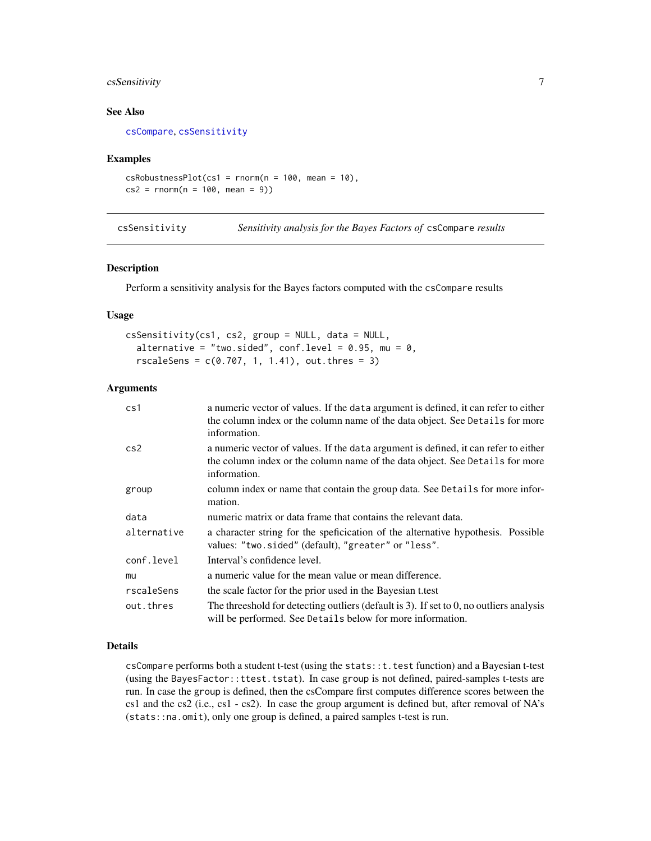# <span id="page-6-0"></span>csSensitivity 7

# See Also

[csCompare](#page-1-1), [csSensitivity](#page-6-1)

#### Examples

 $csRobustnessPlot(cs1 = rnorm(n = 100, mean = 10),$  $cs2 = rnorm(n = 100, mean = 9)$ 

<span id="page-6-1"></span>

| csSensitivity |  |  | Sensitivity analysis for the Bayes Factors of csCompare results |
|---------------|--|--|-----------------------------------------------------------------|
|               |  |  |                                                                 |

#### Description

Perform a sensitivity analysis for the Bayes factors computed with the csCompare results

# Usage

csSensitivity(cs1, cs2, group = NULL, data = NULL, alternative = "two.sided", conf.level =  $0.95$ , mu =  $0$ ,  $rscaleSens = c(0.707, 1, 1.41), out. thres = 3)$ 

# Arguments

| cs1         | a numeric vector of values. If the data argument is defined, it can refer to either<br>the column index or the column name of the data object. See Details for more<br>information. |
|-------------|-------------------------------------------------------------------------------------------------------------------------------------------------------------------------------------|
| cs2         | a numeric vector of values. If the data argument is defined, it can refer to either<br>the column index or the column name of the data object. See Details for more<br>information. |
| group       | column index or name that contain the group data. See Details for more infor-<br>mation.                                                                                            |
| data        | numeric matrix or data frame that contains the relevant data.                                                                                                                       |
| alternative | a character string for the speficication of the alternative hypothesis. Possible<br>values: "two.sided" (default), "greater" or "less".                                             |
| conf.level  | Interval's confidence level.                                                                                                                                                        |
| mu          | a numeric value for the mean value or mean difference.                                                                                                                              |
| rscaleSens  | the scale factor for the prior used in the Bayesian t.test                                                                                                                          |
| out.thres   | The threeshold for detecting outliers (default is 3). If set to 0, no outliers analysis<br>will be performed. See Details below for more information.                               |

#### Details

csCompare performs both a student t-test (using the stats::t.test function) and a Bayesian t-test (using the BayesFactor::ttest.tstat). In case group is not defined, paired-samples t-tests are run. In case the group is defined, then the csCompare first computes difference scores between the cs1 and the cs2 (i.e., cs1 - cs2). In case the group argument is defined but, after removal of NA's (stats::na.omit), only one group is defined, a paired samples t-test is run.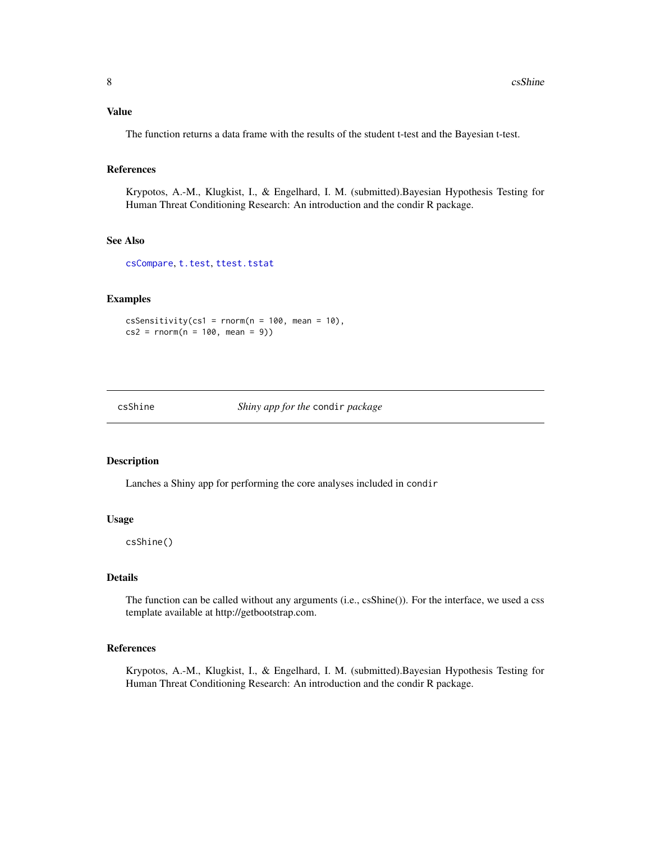# <span id="page-7-0"></span>Value

The function returns a data frame with the results of the student t-test and the Bayesian t-test.

# References

Krypotos, A.-M., Klugkist, I., & Engelhard, I. M. (submitted).Bayesian Hypothesis Testing for Human Threat Conditioning Research: An introduction and the condir R package.

# See Also

[csCompare](#page-1-1), [t.test](#page-0-0), [ttest.tstat](#page-0-0)

# Examples

csSensitivity(cs1 = rnorm( $n = 100$ , mean = 10),  $cs2 = rnorm(n = 100, mean = 9)$ 

csShine *Shiny app for the* condir *package*

# Description

Lanches a Shiny app for performing the core analyses included in condir

# Usage

csShine()

## Details

The function can be called without any arguments (i.e., csShine()). For the interface, we used a css template available at http://getbootstrap.com.

# References

Krypotos, A.-M., Klugkist, I., & Engelhard, I. M. (submitted).Bayesian Hypothesis Testing for Human Threat Conditioning Research: An introduction and the condir R package.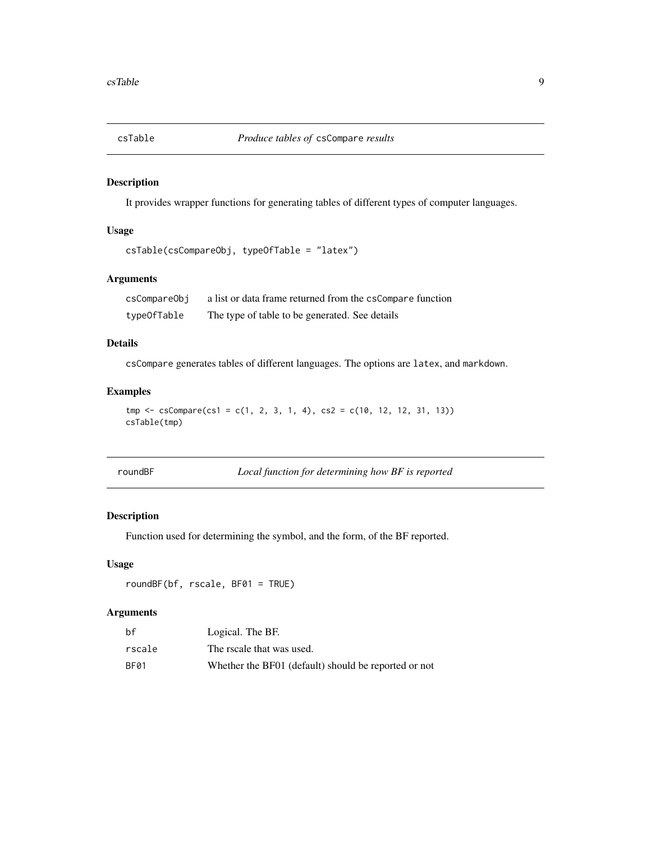<span id="page-8-0"></span>

# Description

It provides wrapper functions for generating tables of different types of computer languages.

# Usage

```
csTable(csCompareObj, typeOfTable = "latex")
```
# Arguments

csCompareObj a list or data frame returned from the csCompare function typeOfTable The type of table to be generated. See details

# Details

csCompare generates tables of different languages. The options are latex, and markdown.

# Examples

```
tmp \leq cscompare(csl = c(1, 2, 3, 1, 4), cs2 = c(10, 12, 12, 31, 13))csTable(tmp)
```

| roundBF |
|---------|
|         |

Local function for determining how BF is reported

# Description

Function used for determining the symbol, and the form, of the BF reported.

# Usage

```
roundBF(bf, rscale, BF01 = TRUE)
```
# Arguments

| bf     | Logical. The BF.                                     |
|--------|------------------------------------------------------|
| rscale | The rscale that was used.                            |
| BF01   | Whether the BF01 (default) should be reported or not |